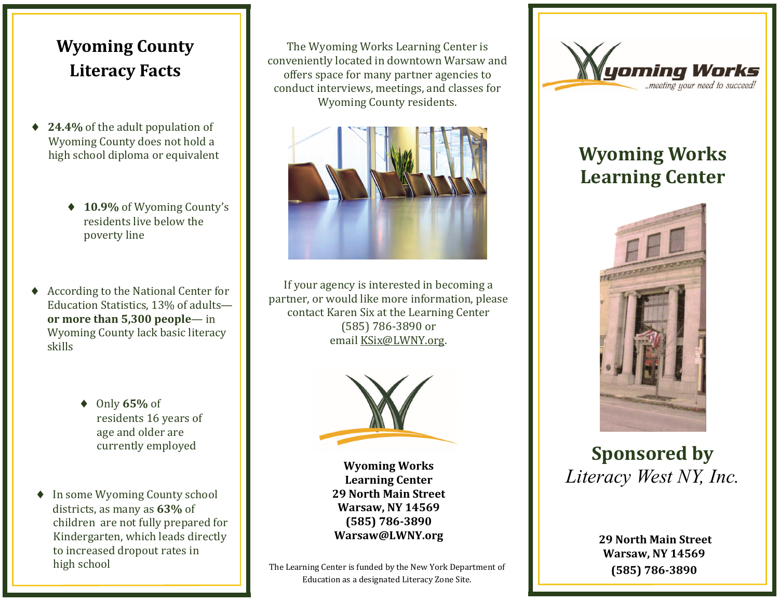## **Wyoming County Literacy Facts**

- $\bullet$ **24.4%** of the adult population of Wyoming County does not hold a high school diploma or equivalent
	- ◆ 10.9% of Wyoming County's residents live below the poverty line
- $\blacklozenge$  According to the National Center for Education Statistics, 13% of adults**or more than 5,300 people**— in Wyoming County lack basic literacy skills
	- ◆ Only **65%** of residents 16 years of age and older are currently employed
- $\bullet$ In some Wyoming County school districts, as many as 63% of children are not fully prepared for Kindergarten, which leads directly to increased dropout rates in high school

The Wyoming Works Learning Center is conveniently located in downtown Warsaw and offers space for many partner agencies to conduct interviews, meetings, and classes for Wyoming County residents.



If your agency is interested in becoming a partner, or would like more information, please contact Karen Six at the Learning Center (585) 786‐3890 or email KSix@LWNY.org.



**Wyoming Works Learning Center 29 North Main Street Warsaw, NY 14569 (585) 786‐3890 Warsaw@LWNY.org**

The Learning Center is funded by the New York Department of Education as a designated Literacy Zone Site.



# **Wyoming Works Learning Center**



**Sponsored by** *Literacy West NY, Inc.*

**29 North Main Street Warsaw, NY 14569 (585) 786‐3890**